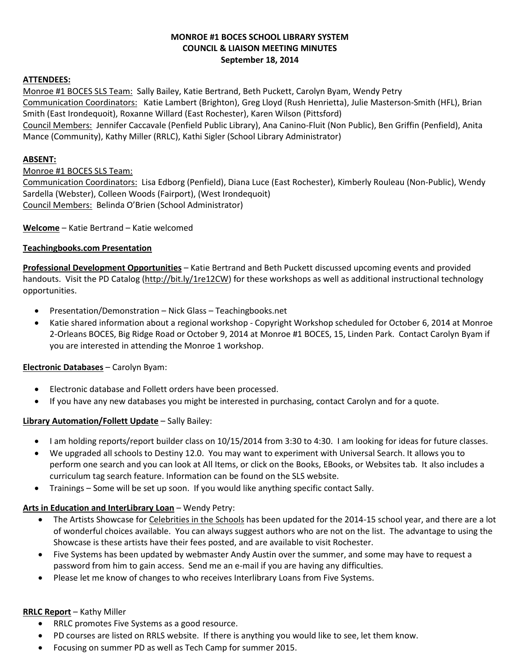# **MONROE #1 BOCES SCHOOL LIBRARY SYSTEM COUNCIL & LIAISON MEETING MINUTES September 18, 2014**

# **ATTENDEES:**

Monroe #1 BOCES SLS Team: Sally Bailey, Katie Bertrand, Beth Puckett, Carolyn Byam, Wendy Petry Communication Coordinators: Katie Lambert (Brighton), Greg Lloyd (Rush Henrietta), Julie Masterson-Smith (HFL), Brian Smith (East Irondequoit), Roxanne Willard (East Rochester), Karen Wilson (Pittsford) Council Members: Jennifer Caccavale (Penfield Public Library), Ana Canino-Fluit (Non Public), Ben Griffin (Penfield), Anita Mance (Community), Kathy Miller (RRLC), Kathi Sigler (School Library Administrator)

#### **ABSENT:**

#### Monroe #1 BOCES SLS Team:

Communication Coordinators: Lisa Edborg (Penfield), Diana Luce (East Rochester), Kimberly Rouleau (Non-Public), Wendy Sardella (Webster), Colleen Woods (Fairport), (West Irondequoit) Council Members: Belinda O'Brien (School Administrator)

**Welcome** – Katie Bertrand – Katie welcomed

#### **Teachingbooks.com Presentation**

**Professional Development Opportunities** – Katie Bertrand and Beth Puckett discussed upcoming events and provided handouts. Visit the PD Catalog [\(http://bit.ly/1re12CW\)](http://bit.ly/1re12CW) for these workshops as well as additional instructional technology opportunities.

- Presentation/Demonstration Nick Glass Teachingbooks.net
- Katie shared information about a regional workshop Copyright Workshop scheduled for October 6, 2014 at Monroe 2-Orleans BOCES, Big Ridge Road or October 9, 2014 at Monroe #1 BOCES, 15, Linden Park. Contact Carolyn Byam if you are interested in attending the Monroe 1 workshop.

# **Electronic Databases** – Carolyn Byam:

- Electronic database and Follett orders have been processed.
- If you have any new databases you might be interested in purchasing, contact Carolyn and for a quote.

# **Library Automation/Follett Update** – Sally Bailey:

- I am holding reports/report builder class on 10/15/2014 from 3:30 to 4:30. I am looking for ideas for future classes.
- We upgraded all schools to Destiny 12.0. You may want to experiment with Universal Search. It allows you to perform one search and you can look at All Items, or click on the Books, EBooks, or Websites tab. It also includes a curriculum tag search feature. Information can be found on the SLS website.
- Trainings Some will be set up soon. If you would like anything specific contact Sally.

# **Arts in Education and InterLibrary Loan** – Wendy Petry:

- The Artists Showcase fo[r Celebrities in the](http://www.monroe.edu/webpages/aenrichment/celebrities.cfm?subpage=2878) Schools has been updated for the 2014-15 school year, and there are a lot of wonderful choices available. You can always suggest authors who are not on the list. The advantage to using the Showcase is these artists have their fees posted, and are available to visit Rochester.
- Five Systems has been updated by webmaster Andy Austin over the summer, and some may have to request a password from him to gain access. Send me an e-mail if you are having any difficulties.
- Please let me know of changes to who receives Interlibrary Loans from Five Systems.

#### **RRLC Report** – Kathy Miller

- RRLC promotes Five Systems as a good resource.
- PD courses are listed on RRLS website. If there is anything you would like to see, let them know.
- Focusing on summer PD as well as Tech Camp for summer 2015.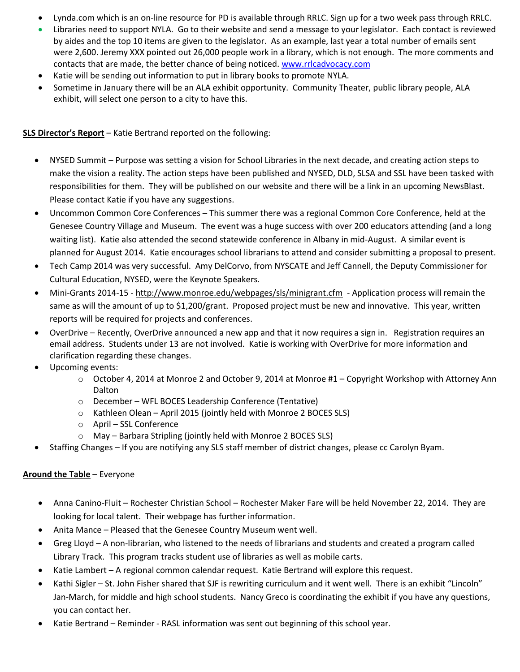- Lynda.com which is an on-line resource for PD is available through RRLC. Sign up for a two week pass through RRLC.
- Libraries need to support NYLA. Go to their website and send a message to your legislator. Each contact is reviewed by aides and the top 10 items are given to the legislator. As an example, last year a total number of emails sent were 2,600. Jeremy XXX pointed out 26,000 people work in a library, which is not enough. The more comments and contacts that are made, the better chance of being noticed[. www.rrlcadvocacy.com](http://www.rrlcadvocacy.com/)
- Katie will be sending out information to put in library books to promote NYLA.
- Sometime in January there will be an ALA exhibit opportunity. Community Theater, public library people, ALA exhibit, will select one person to a city to have this.

# **SLS Director's Report** – Katie Bertrand reported on the following:

- NYSED Summit Purpose was setting a vision for School Libraries in the next decade, and creating action steps to make the vision a reality. The action steps have been published and NYSED, DLD, SLSA and SSL have been tasked with responsibilities for them. They will be published on our website and there will be a link in an upcoming NewsBlast. Please contact Katie if you have any suggestions.
- Uncommon Common Core Conferences This summer there was a regional Common Core Conference, held at the Genesee Country Village and Museum. The event was a huge success with over 200 educators attending (and a long waiting list). Katie also attended the second statewide conference in Albany in mid-August. A similar event is planned for August 2014. Katie encourages school librarians to attend and consider submitting a proposal to present.
- Tech Camp 2014 was very successful. Amy DelCorvo, from NYSCATE and Jeff Cannell, the Deputy Commissioner for Cultural Education, NYSED, were the Keynote Speakers.
- Mini-Grants 2014-15 <http://www.monroe.edu/webpages/sls/minigrant.cfm> Application process will remain the same as will the amount of up to \$1,200/grant. Proposed project must be new and innovative. This year, written reports will be required for projects and conferences.
- OverDrive Recently, OverDrive announced a new app and that it now requires a sign in. Registration requires an email address. Students under 13 are not involved. Katie is working with OverDrive for more information and clarification regarding these changes.
- Upcoming events:
	- $\circ$  October 4, 2014 at Monroe 2 and October 9, 2014 at Monroe #1 Copyright Workshop with Attorney Ann Dalton
	- o December WFL BOCES Leadership Conference (Tentative)
	- o Kathleen Olean April 2015 (jointly held with Monroe 2 BOCES SLS)
	- o April SSL Conference
	- o May Barbara Stripling (jointly held with Monroe 2 BOCES SLS)
- Staffing Changes If you are notifying any SLS staff member of district changes, please cc Carolyn Byam.

# **Around the Table** – Everyone

- Anna Canino-Fluit Rochester Christian School Rochester Maker Fare will be held November 22, 2014. They are looking for local talent. Their webpage has further information.
- Anita Mance Pleased that the Genesee Country Museum went well.
- Greg Lloyd A non-librarian, who listened to the needs of librarians and students and created a program called Library Track. This program tracks student use of libraries as well as mobile carts.
- Katie Lambert A regional common calendar request. Katie Bertrand will explore this request.
- Kathi Sigler St. John Fisher shared that SJF is rewriting curriculum and it went well. There is an exhibit "Lincoln" Jan-March, for middle and high school students. Nancy Greco is coordinating the exhibit if you have any questions, you can contact her.
- Katie Bertrand Reminder RASL information was sent out beginning of this school year.